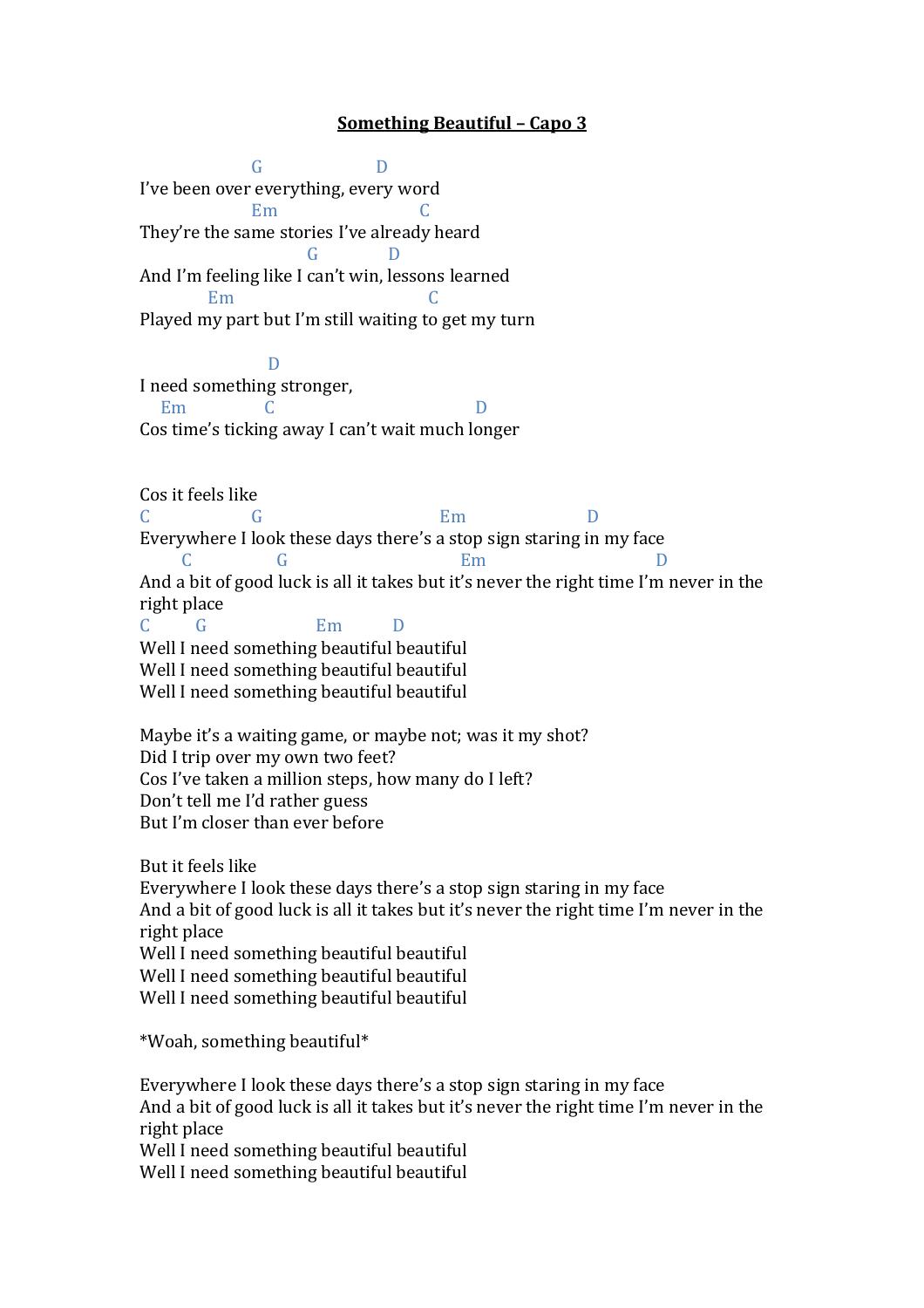## **Something Beautiful – Capo 3**

GD I've been over everything, every word Em C They're the same stories I've already heard G D And I'm feeling like I can't win, lessons learned Em C Played my part but I'm still waiting to get my turn D I need something stronger, Em C D Cos time's ticking away I can't wait much longer Cos it feels like C G Em D Everywhere I look these days there's a stop sign staring in my face C G Em D And a bit of good luck is all it takes but it's never the right time I'm never in the right place C G Em D Well I need something beautiful beautiful Well I need something beautiful beautiful Well I need something beautiful beautiful Maybe it's a waiting game, or maybe not; was it my shot? Did I trip over my own two feet? Cos I've taken a million steps, how many do I left? Don't tell me I'd rather guess But I'm closer than ever before But it feels like Everywhere I look these days there's a stop sign staring in my face And a bit of good luck is all it takes but it's never the right time I'm never in the right place Well I need something beautiful beautiful Well I need something beautiful beautiful Well I need something beautiful beautiful \*Woah, something beautiful\* Everywhere I look these days there's a stop sign staring in my face And a bit of good luck is all it takes but it's never the right time I'm never in the

right place Well I need something beautiful beautiful

Well I need something beautiful beautiful